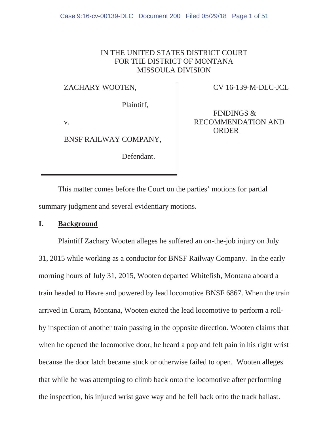# IN THE UNITED STATES DISTRICT COURT FOR THE DISTRICT OF MONTANA MISSOULA DIVISION

## ZACHARY WOOTEN,

Plaintiff,

v.

BNSF RAILWAY COMPANY,

Defendant.

CV 16-139-M-DLC-JCL

FINDINGS & RECOMMENDATION AND **ORDER** 

This matter comes before the Court on the parties' motions for partial summary judgment and several evidentiary motions.

## **I. Background**

Plaintiff Zachary Wooten alleges he suffered an on-the-job injury on July 31, 2015 while working as a conductor for BNSF Railway Company. In the early morning hours of July 31, 2015, Wooten departed Whitefish, Montana aboard a train headed to Havre and powered by lead locomotive BNSF 6867. When the train arrived in Coram, Montana, Wooten exited the lead locomotive to perform a rollby inspection of another train passing in the opposite direction. Wooten claims that when he opened the locomotive door, he heard a pop and felt pain in his right wrist because the door latch became stuck or otherwise failed to open. Wooten alleges that while he was attempting to climb back onto the locomotive after performing the inspection, his injured wrist gave way and he fell back onto the track ballast.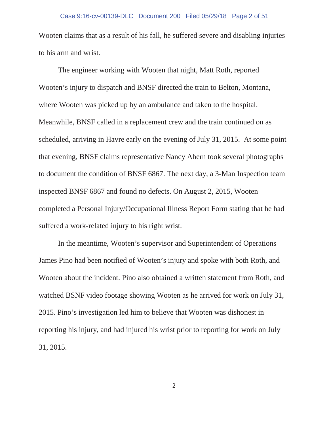## Case 9:16-cv-00139-DLC Document 200 Filed 05/29/18 Page 2 of 51

Wooten claims that as a result of his fall, he suffered severe and disabling injuries to his arm and wrist.

The engineer working with Wooten that night, Matt Roth, reported Wooten's injury to dispatch and BNSF directed the train to Belton, Montana, where Wooten was picked up by an ambulance and taken to the hospital. Meanwhile, BNSF called in a replacement crew and the train continued on as scheduled, arriving in Havre early on the evening of July 31, 2015. At some point that evening, BNSF claims representative Nancy Ahern took several photographs to document the condition of BNSF 6867. The next day, a 3-Man Inspection team inspected BNSF 6867 and found no defects. On August 2, 2015, Wooten completed a Personal Injury/Occupational Illness Report Form stating that he had suffered a work-related injury to his right wrist.

In the meantime, Wooten's supervisor and Superintendent of Operations James Pino had been notified of Wooten's injury and spoke with both Roth, and Wooten about the incident. Pino also obtained a written statement from Roth, and watched BSNF video footage showing Wooten as he arrived for work on July 31, 2015. Pino's investigation led him to believe that Wooten was dishonest in reporting his injury, and had injured his wrist prior to reporting for work on July 31, 2015.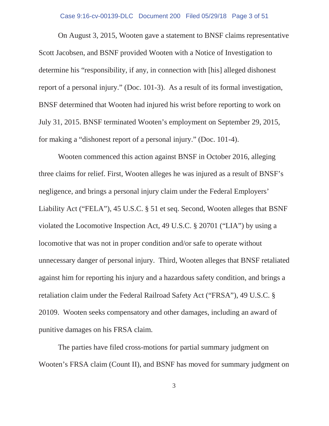## Case 9:16-cv-00139-DLC Document 200 Filed 05/29/18 Page 3 of 51

On August 3, 2015, Wooten gave a statement to BNSF claims representative Scott Jacobsen, and BSNF provided Wooten with a Notice of Investigation to determine his "responsibility, if any, in connection with [his] alleged dishonest report of a personal injury." (Doc. 101-3). As a result of its formal investigation, BNSF determined that Wooten had injured his wrist before reporting to work on July 31, 2015. BNSF terminated Wooten's employment on September 29, 2015, for making a "dishonest report of a personal injury." (Doc. 101-4).

Wooten commenced this action against BNSF in October 2016, alleging three claims for relief. First, Wooten alleges he was injured as a result of BNSF's negligence, and brings a personal injury claim under the Federal Employers' Liability Act ("FELA"), 45 U.S.C. § 51 et seq. Second, Wooten alleges that BSNF violated the Locomotive Inspection Act, 49 U.S.C. § 20701 ("LIA") by using a locomotive that was not in proper condition and/or safe to operate without unnecessary danger of personal injury. Third, Wooten alleges that BNSF retaliated against him for reporting his injury and a hazardous safety condition, and brings a retaliation claim under the Federal Railroad Safety Act ("FRSA"), 49 U.S.C. § 20109. Wooten seeks compensatory and other damages, including an award of punitive damages on his FRSA claim.

The parties have filed cross-motions for partial summary judgment on Wooten's FRSA claim (Count II), and BSNF has moved for summary judgment on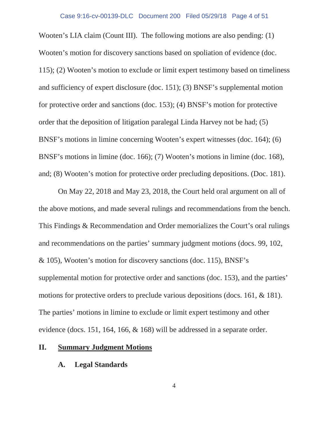Wooten's LIA claim (Count III). The following motions are also pending: (1) Wooten's motion for discovery sanctions based on spoliation of evidence (doc. 115); (2) Wooten's motion to exclude or limit expert testimony based on timeliness and sufficiency of expert disclosure (doc. 151); (3) BNSF's supplemental motion for protective order and sanctions (doc. 153); (4) BNSF's motion for protective order that the deposition of litigation paralegal Linda Harvey not be had; (5) BNSF's motions in limine concerning Wooten's expert witnesses (doc. 164); (6) BNSF's motions in limine (doc. 166); (7) Wooten's motions in limine (doc. 168), and; (8) Wooten's motion for protective order precluding depositions. (Doc. 181).

On May 22, 2018 and May 23, 2018, the Court held oral argument on all of the above motions, and made several rulings and recommendations from the bench. This Findings & Recommendation and Order memorializes the Court's oral rulings and recommendations on the parties' summary judgment motions (docs. 99, 102, & 105), Wooten's motion for discovery sanctions (doc. 115), BNSF's supplemental motion for protective order and sanctions (doc. 153), and the parties' motions for protective orders to preclude various depositions (docs. 161, & 181). The parties' motions in limine to exclude or limit expert testimony and other evidence (docs. 151, 164, 166, & 168) will be addressed in a separate order.

## **II. Summary Judgment Motions**

## **A. Legal Standards**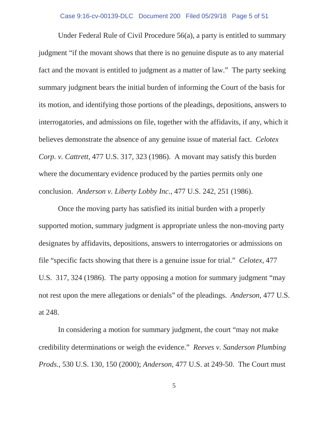## Case 9:16-cv-00139-DLC Document 200 Filed 05/29/18 Page 5 of 51

Under Federal Rule of Civil Procedure 56(a), a party is entitled to summary judgment "if the movant shows that there is no genuine dispute as to any material fact and the movant is entitled to judgment as a matter of law." The party seeking summary judgment bears the initial burden of informing the Court of the basis for its motion, and identifying those portions of the pleadings, depositions, answers to interrogatories, and admissions on file, together with the affidavits, if any, which it believes demonstrate the absence of any genuine issue of material fact. *Celotex Corp. v. Cattrett*, 477 U.S. 317, 323 (1986). A movant may satisfy this burden where the documentary evidence produced by the parties permits only one conclusion. *Anderson v. Liberty Lobby Inc.*, 477 U.S. 242, 251 (1986).

Once the moving party has satisfied its initial burden with a properly supported motion, summary judgment is appropriate unless the non-moving party designates by affidavits, depositions, answers to interrogatories or admissions on file "specific facts showing that there is a genuine issue for trial." *Celotex*, 477 U.S. 317, 324 (1986). The party opposing a motion for summary judgment "may not rest upon the mere allegations or denials" of the pleadings. *Anderson*, 477 U.S. at 248.

In considering a motion for summary judgment, the court "may not make credibility determinations or weigh the evidence." *Reeves v. Sanderson Plumbing Prods.*, 530 U.S. 130, 150 (2000); *Anderson*, 477 U.S. at 249-50. The Court must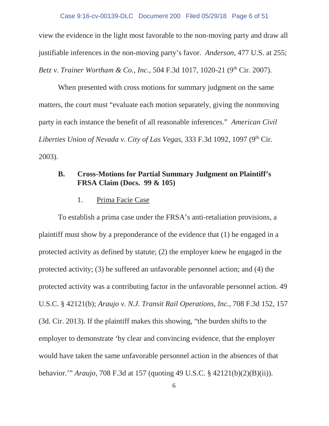view the evidence in the light most favorable to the non-moving party and draw all justifiable inferences in the non-moving party's favor. *Anderson*, 477 U.S. at 255; *Betz v. Trainer Wortham & Co., Inc.*, 504 F.3d 1017, 1020-21 (9<sup>th</sup> Cir. 2007).

When presented with cross motions for summary judgment on the same matters, the court must "evaluate each motion separately, giving the nonmoving party in each instance the benefit of all reasonable inferences." *American Civil Liberties Union of Nevada v. City of Las Vegas, 333 F.3d 1092, 1097 (9th Cir.* 2003).

## **B. Cross-Motions for Partial Summary Judgment on Plaintiff's FRSA Claim (Docs. 99 & 105)**

1. Prima Facie Case

To establish a prima case under the FRSA's anti-retaliation provisions, a plaintiff must show by a preponderance of the evidence that (1) he engaged in a protected activity as defined by statute; (2) the employer knew he engaged in the protected activity; (3) he suffered an unfavorable personnel action; and (4) the protected activity was a contributing factor in the unfavorable personnel action. 49 U.S.C. § 42121(b); *Araujo v. N.J. Transit Rail Operations, Inc.*, 708 F.3d 152, 157 (3d. Cir. 2013). If the plaintiff makes this showing, "the burden shifts to the employer to demonstrate 'by clear and convincing evidence, that the employer would have taken the same unfavorable personnel action in the absences of that behavior.'" *Araujo,* 708 F.3d at 157 (quoting 49 U.S.C. § 42121(b)(2)(B)(ii)).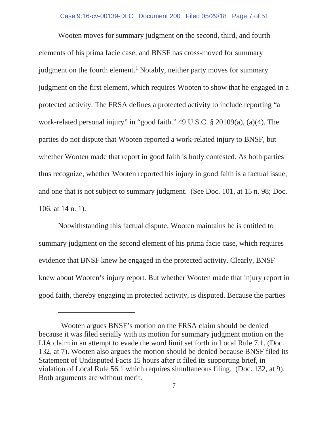## Case 9:16-cv-00139-DLC Document 200 Filed 05/29/18 Page 7 of 51

Wooten moves for summary judgment on the second, third, and fourth elements of his prima facie case, and BNSF has cross-moved for summary judgment on the fourth element.<sup>1</sup> Notably, neither party moves for summary judgment on the first element, which requires Wooten to show that he engaged in a protected activity. The FRSA defines a protected activity to include reporting "a work-related personal injury" in "good faith." 49 U.S.C. § 20109(a), (a)(4). The parties do not dispute that Wooten reported a work-related injury to BNSF, but whether Wooten made that report in good faith is hotly contested. As both parties thus recognize, whether Wooten reported his injury in good faith is a factual issue, and one that is not subject to summary judgment. (See Doc. 101, at 15 n. 98; Doc. 106, at 14 n. 1).

Notwithstanding this factual dispute, Wooten maintains he is entitled to summary judgment on the second element of his prima facie case, which requires evidence that BNSF knew he engaged in the protected activity. Clearly, BNSF knew about Wooten's injury report. But whether Wooten made that injury report in good faith, thereby engaging in protected activity, is disputed. Because the parties

<sup>1</sup> Wooten argues BNSF's motion on the FRSA claim should be denied because it was filed serially with its motion for summary judgment motion on the LIA claim in an attempt to evade the word limit set forth in Local Rule 7.1. (Doc. 132, at 7). Wooten also argues the motion should be denied because BNSF filed its Statement of Undisputed Facts 15 hours after it filed its supporting brief, in violation of Local Rule 56.1 which requires simultaneous filing. (Doc. 132, at 9). Both arguments are without merit.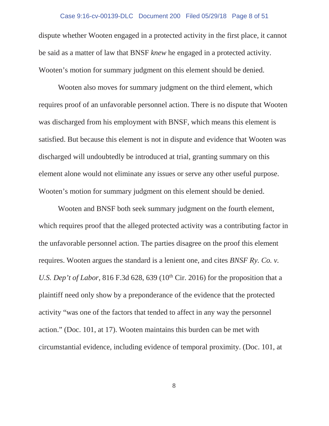## Case 9:16-cv-00139-DLC Document 200 Filed 05/29/18 Page 8 of 51

dispute whether Wooten engaged in a protected activity in the first place, it cannot be said as a matter of law that BNSF *knew* he engaged in a protected activity. Wooten's motion for summary judgment on this element should be denied.

Wooten also moves for summary judgment on the third element, which requires proof of an unfavorable personnel action. There is no dispute that Wooten was discharged from his employment with BNSF, which means this element is satisfied. But because this element is not in dispute and evidence that Wooten was discharged will undoubtedly be introduced at trial, granting summary on this element alone would not eliminate any issues or serve any other useful purpose. Wooten's motion for summary judgment on this element should be denied.

Wooten and BNSF both seek summary judgment on the fourth element, which requires proof that the alleged protected activity was a contributing factor in the unfavorable personnel action. The parties disagree on the proof this element requires. Wooten argues the standard is a lenient one, and cites *BNSF Ry. Co. v. U.S. Dep't of Labor*, 816 F.3d 628, 639 ( $10^{th}$  Cir. 2016) for the proposition that a plaintiff need only show by a preponderance of the evidence that the protected activity "was one of the factors that tended to affect in any way the personnel action." (Doc. 101, at 17). Wooten maintains this burden can be met with circumstantial evidence, including evidence of temporal proximity. (Doc. 101, at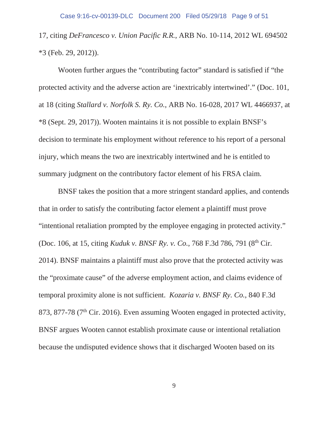17, citing *DeFrancesco v. Union Pacific R.R.*, ARB No. 10-114, 2012 WL 694502 \*3 (Feb. 29, 2012)).

Wooten further argues the "contributing factor" standard is satisfied if "the protected activity and the adverse action are 'inextricably intertwined'." (Doc. 101, at 18 (citing *Stallard v. Norfolk S. Ry. Co.*, ARB No. 16-028, 2017 WL 4466937, at \*8 (Sept. 29, 2017)). Wooten maintains it is not possible to explain BNSF's decision to terminate his employment without reference to his report of a personal injury, which means the two are inextricably intertwined and he is entitled to summary judgment on the contributory factor element of his FRSA claim.

BNSF takes the position that a more stringent standard applies, and contends that in order to satisfy the contributing factor element a plaintiff must prove "intentional retaliation prompted by the employee engaging in protected activity." (Doc. 106, at 15, citing *Kuduk v. BNSF Ry. v. Co.*, 768 F.3d 786, 791 (8<sup>th</sup> Cir. 2014). BNSF maintains a plaintiff must also prove that the protected activity was the "proximate cause" of the adverse employment action, and claims evidence of temporal proximity alone is not sufficient. *Kozaria v. BNSF Ry. Co.*, 840 F.3d 873, 877-78 ( $7<sup>th</sup>$  Cir. 2016). Even assuming Wooten engaged in protected activity, BNSF argues Wooten cannot establish proximate cause or intentional retaliation because the undisputed evidence shows that it discharged Wooten based on its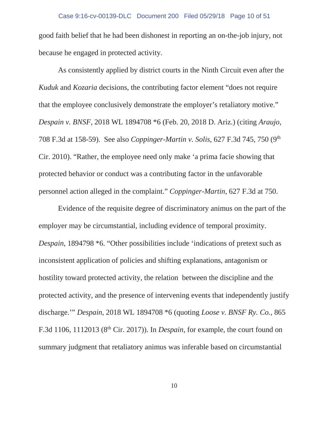good faith belief that he had been dishonest in reporting an on-the-job injury, not because he engaged in protected activity.

As consistently applied by district courts in the Ninth Circuit even after the *Kuduk* and *Kozaria* decisions, the contributing factor element "does not require that the employee conclusively demonstrate the employer's retaliatory motive." *Despain v. BNSF*, 2018 WL 1894708 \*6 (Feb. 20, 2018 D. Ariz.) (citing *Araujo*, 708 F.3d at 158-59). See also *Coppinger-Martin v. Solis*, 627 F.3d 745, 750 (9th Cir. 2010). "Rather, the employee need only make 'a prima facie showing that protected behavior or conduct was a contributing factor in the unfavorable personnel action alleged in the complaint." *Coppinger-Martin*, 627 F.3d at 750.

Evidence of the requisite degree of discriminatory animus on the part of the employer may be circumstantial, including evidence of temporal proximity. *Despain*, 1894798 \*6. "Other possibilities include 'indications of pretext such as inconsistent application of policies and shifting explanations, antagonism or hostility toward protected activity, the relation between the discipline and the protected activity, and the presence of intervening events that independently justify discharge.'" *Despain*, 2018 WL 1894708 \*6 (quoting *Loose v. BNSF Ry. Co.*, 865 F.3d 1106, 1112013 (8th Cir. 2017)). In *Despain,* for example, the court found on summary judgment that retaliatory animus was inferable based on circumstantial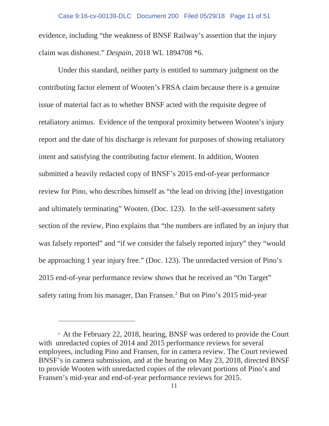evidence, including "the weakness of BNSF Railway's assertion that the injury claim was dishonest." *Despain*, 2018 WL 1894708 \*6.

Under this standard, neither party is entitled to summary judgment on the contributing factor element of Wooten's FRSA claim because there is a genuine issue of material fact as to whether BNSF acted with the requisite degree of retaliatory animus. Evidence of the temporal proximity between Wooten's injury report and the date of his discharge is relevant for purposes of showing retaliatory intent and satisfying the contributing factor element. In addition, Wooten submitted a heavily redacted copy of BNSF's 2015 end-of-year performance review for Pino, who describes himself as "the lead on driving [the] investigation and ultimately terminating" Wooten. (Doc. 123). In the self-assessment safety section of the review, Pino explains that "the numbers are inflated by an injury that was falsely reported" and "if we consider the falsely reported injury" they "would be approaching 1 year injury free." (Doc. 123). The unredacted version of Pino's 2015 end-of-year performance review shows that he received an "On Target" safety rating from his manager, Dan Fransen.<sup>2</sup> But on Pino's 2015 mid-year

<sup>&</sup>lt;sup>2</sup> At the February 22, 2018, hearing, BNSF was ordered to provide the Court with unredacted copies of 2014 and 2015 performance reviews for several employees, including Pino and Fransen, for in camera review. The Court reviewed BNSF's in camera submission, and at the hearing on May 23, 2018, directed BNSF to provide Wooten with unredacted copies of the relevant portions of Pino's and Fransen's mid-year and end-of-year performance reviews for 2015.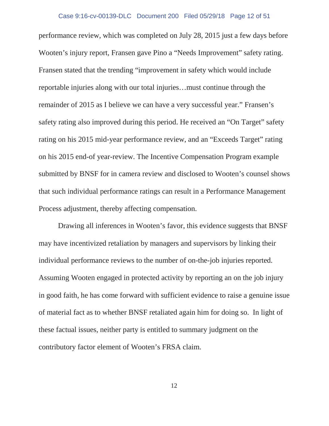### Case 9:16-cv-00139-DLC Document 200 Filed 05/29/18 Page 12 of 51

performance review, which was completed on July 28, 2015 just a few days before Wooten's injury report, Fransen gave Pino a "Needs Improvement" safety rating. Fransen stated that the trending "improvement in safety which would include reportable injuries along with our total injuries…must continue through the remainder of 2015 as I believe we can have a very successful year." Fransen's safety rating also improved during this period. He received an "On Target" safety rating on his 2015 mid-year performance review, and an "Exceeds Target" rating on his 2015 end-of year-review. The Incentive Compensation Program example submitted by BNSF for in camera review and disclosed to Wooten's counsel shows that such individual performance ratings can result in a Performance Management Process adjustment, thereby affecting compensation.

Drawing all inferences in Wooten's favor, this evidence suggests that BNSF may have incentivized retaliation by managers and supervisors by linking their individual performance reviews to the number of on-the-job injuries reported. Assuming Wooten engaged in protected activity by reporting an on the job injury in good faith, he has come forward with sufficient evidence to raise a genuine issue of material fact as to whether BNSF retaliated again him for doing so. In light of these factual issues, neither party is entitled to summary judgment on the contributory factor element of Wooten's FRSA claim.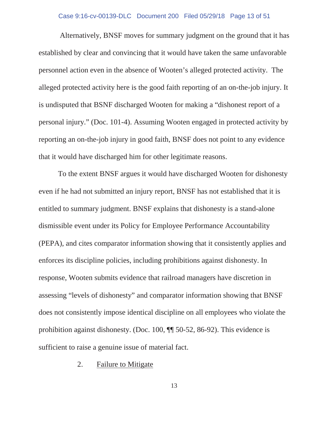## Case 9:16-cv-00139-DLC Document 200 Filed 05/29/18 Page 13 of 51

Alternatively, BNSF moves for summary judgment on the ground that it has established by clear and convincing that it would have taken the same unfavorable personnel action even in the absence of Wooten's alleged protected activity. The alleged protected activity here is the good faith reporting of an on-the-job injury. It is undisputed that BSNF discharged Wooten for making a "dishonest report of a personal injury." (Doc. 101-4). Assuming Wooten engaged in protected activity by reporting an on-the-job injury in good faith, BNSF does not point to any evidence that it would have discharged him for other legitimate reasons.

To the extent BNSF argues it would have discharged Wooten for dishonesty even if he had not submitted an injury report, BNSF has not established that it is entitled to summary judgment. BNSF explains that dishonesty is a stand-alone dismissible event under its Policy for Employee Performance Accountability (PEPA), and cites comparator information showing that it consistently applies and enforces its discipline policies, including prohibitions against dishonesty. In response, Wooten submits evidence that railroad managers have discretion in assessing "levels of dishonesty" and comparator information showing that BNSF does not consistently impose identical discipline on all employees who violate the prohibition against dishonesty. (Doc. 100, ¶¶ 50-52, 86-92). This evidence is sufficient to raise a genuine issue of material fact.

2. Failure to Mitigate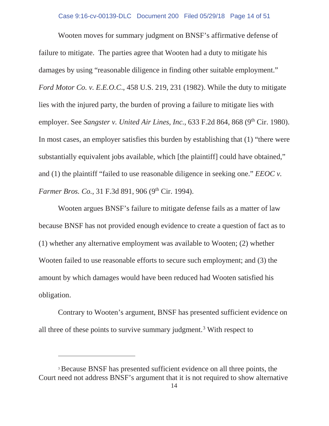## Case 9:16-cv-00139-DLC Document 200 Filed 05/29/18 Page 14 of 51

Wooten moves for summary judgment on BNSF's affirmative defense of failure to mitigate. The parties agree that Wooten had a duty to mitigate his damages by using "reasonable diligence in finding other suitable employment." *Ford Motor Co. v. E.E.O.C*., 458 U.S. 219, 231 (1982). While the duty to mitigate lies with the injured party, the burden of proving a failure to mitigate lies with employer. See *Sangster v. United Air Lines, Inc.*, 633 F.2d 864, 868 (9<sup>th</sup> Cir. 1980). In most cases, an employer satisfies this burden by establishing that (1) "there were substantially equivalent jobs available, which [the plaintiff] could have obtained," and (1) the plaintiff "failed to use reasonable diligence in seeking one." *EEOC v. Farmer Bros. Co.*, 31 F.3d 891, 906 (9<sup>th</sup> Cir. 1994).

Wooten argues BNSF's failure to mitigate defense fails as a matter of law because BNSF has not provided enough evidence to create a question of fact as to (1) whether any alternative employment was available to Wooten; (2) whether Wooten failed to use reasonable efforts to secure such employment; and (3) the amount by which damages would have been reduced had Wooten satisfied his obligation.

Contrary to Wooten's argument, BNSF has presented sufficient evidence on all three of these points to survive summary judgment.3 With respect to

<sup>3</sup> Because BNSF has presented sufficient evidence on all three points, the Court need not address BNSF's argument that it is not required to show alternative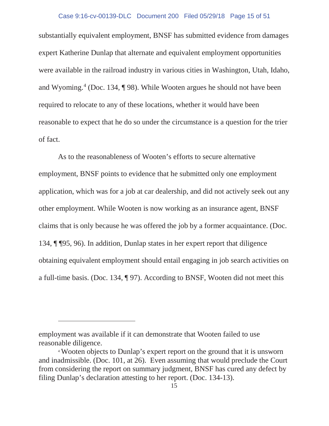## Case 9:16-cv-00139-DLC Document 200 Filed 05/29/18 Page 15 of 51

substantially equivalent employment, BNSF has submitted evidence from damages expert Katherine Dunlap that alternate and equivalent employment opportunities were available in the railroad industry in various cities in Washington, Utah, Idaho, and Wyoming.4 (Doc. 134, ¶ 98). While Wooten argues he should not have been required to relocate to any of these locations, whether it would have been reasonable to expect that he do so under the circumstance is a question for the trier of fact.

As to the reasonableness of Wooten's efforts to secure alternative employment, BNSF points to evidence that he submitted only one employment application, which was for a job at car dealership, and did not actively seek out any other employment. While Wooten is now working as an insurance agent, BNSF claims that is only because he was offered the job by a former acquaintance. (Doc. 134, ¶ ¶95, 96). In addition, Dunlap states in her expert report that diligence obtaining equivalent employment should entail engaging in job search activities on a full-time basis. (Doc. 134, ¶ 97). According to BNSF, Wooten did not meet this

employment was available if it can demonstrate that Wooten failed to use reasonable diligence.

<sup>4</sup> Wooten objects to Dunlap's expert report on the ground that it is unsworn and inadmissible. (Doc. 101, at 26). Even assuming that would preclude the Court from considering the report on summary judgment, BNSF has cured any defect by filing Dunlap's declaration attesting to her report. (Doc. 134-13).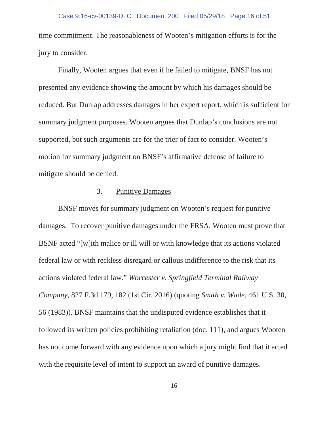## Case 9:16-cv-00139-DLC Document 200 Filed 05/29/18 Page 16 of 51

time commitment. The reasonableness of Wooten's mitigation efforts is for the jury to consider.

Finally, Wooten argues that even if he failed to mitigate, BNSF has not presented any evidence showing the amount by which his damages should be reduced. But Dunlap addresses damages in her expert report, which is sufficient for summary judgment purposes. Wooten argues that Dunlap's conclusions are not supported, but such arguments are for the trier of fact to consider. Wooten's motion for summary judgment on BNSF's affirmative defense of failure to mitigate should be denied.

## 3. Punitive Damages

BNSF moves for summary judgment on Wooten's request for punitive damages. To recover punitive damages under the FRSA, Wooten must prove that BSNF acted "[w]ith malice or ill will or with knowledge that its actions violated federal law or with reckless disregard or callous indifference to the risk that its actions violated federal law." *Worcester v. Springfield Terminal Railway Company*, 827 F.3d 179, 182 (1st Cir. 2016) (quoting *Smith v. Wade*, 461 U.S. 30, 56 (1983)). BNSF maintains that the undisputed evidence establishes that it followed its written policies prohibiting retaliation (doc. 111), and argues Wooten has not come forward with any evidence upon which a jury might find that it acted with the requisite level of intent to support an award of punitive damages.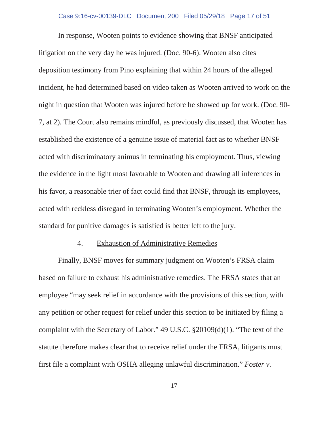## Case 9:16-cv-00139-DLC Document 200 Filed 05/29/18 Page 17 of 51

In response, Wooten points to evidence showing that BNSF anticipated litigation on the very day he was injured. (Doc. 90-6). Wooten also cites deposition testimony from Pino explaining that within 24 hours of the alleged incident, he had determined based on video taken as Wooten arrived to work on the night in question that Wooten was injured before he showed up for work. (Doc. 90- 7, at 2). The Court also remains mindful, as previously discussed, that Wooten has established the existence of a genuine issue of material fact as to whether BNSF acted with discriminatory animus in terminating his employment. Thus, viewing the evidence in the light most favorable to Wooten and drawing all inferences in his favor, a reasonable trier of fact could find that BNSF, through its employees, acted with reckless disregard in terminating Wooten's employment. Whether the standard for punitive damages is satisfied is better left to the jury.

## 4. Exhaustion of Administrative Remedies

Finally, BNSF moves for summary judgment on Wooten's FRSA claim based on failure to exhaust his administrative remedies. The FRSA states that an employee "may seek relief in accordance with the provisions of this section, with any petition or other request for relief under this section to be initiated by filing a complaint with the Secretary of Labor." 49 U.S.C. §20109(d)(1). "The text of the statute therefore makes clear that to receive relief under the FRSA, litigants must first file a complaint with OSHA alleging unlawful discrimination." *Foster v.*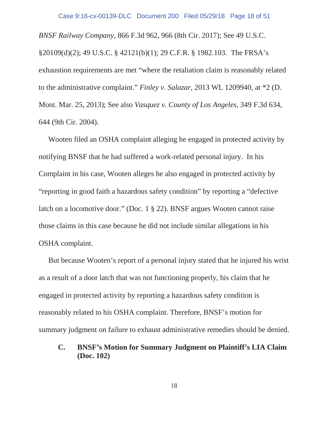#### Case 9:16-cv-00139-DLC Document 200 Filed 05/29/18 Page 18 of 51

*BNSF Railway Company*, 866 F.3d 962, 966 (8th Cir. 2017); See 49 U.S.C. §20109(d)(2); 49 U.S.C. § 42121(b)(1); 29 C.F.R. § 1982.103. The FRSA's exhaustion requirements are met "where the retaliation claim is reasonably related to the administrative complaint." *Finley v. Salazar*, 2013 WL 1209940, at \*2 (D. Mont. Mar. 25, 2013); See also *Vasquez v. County of Los Angeles*, 349 F.3d 634, 644 (9th Cir. 2004).

Wooten filed an OSHA complaint alleging he engaged in protected activity by notifying BNSF that he had suffered a work-related personal injury. In his Complaint in his case, Wooten alleges he also engaged in protected activity by "reporting in good faith a hazardous safety condition" by reporting a "defective latch on a locomotive door." (Doc. 1 § 22). BNSF argues Wooten cannot raise those claims in this case because he did not include similar allegations in his OSHA complaint.

But because Wooten's report of a personal injury stated that he injured his wrist as a result of a door latch that was not functioning properly, his claim that he engaged in protected activity by reporting a hazardous safety condition is reasonably related to his OSHA complaint. Therefore, BNSF's motion for summary judgment on failure to exhaust administrative remedies should be denied.

**C. BNSF's Motion for Summary Judgment on Plaintiff's LIA Claim (Doc. 102)**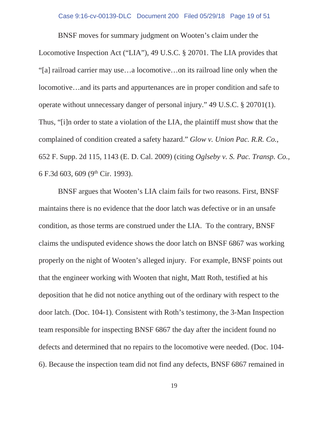BNSF moves for summary judgment on Wooten's claim under the Locomotive Inspection Act ("LIA"), 49 U.S.C. § 20701. The LIA provides that "[a] railroad carrier may use…a locomotive…on its railroad line only when the locomotive…and its parts and appurtenances are in proper condition and safe to operate without unnecessary danger of personal injury." 49 U.S.C. § 20701(1). Thus, "[i]n order to state a violation of the LIA, the plaintiff must show that the complained of condition created a safety hazard." *Glow v. Union Pac. R.R. Co.*, 652 F. Supp. 2d 115, 1143 (E. D. Cal. 2009) (citing *Oglseby v. S. Pac. Transp. Co.*, 6 F.3d 603, 609 (9th Cir. 1993).

BNSF argues that Wooten's LIA claim fails for two reasons. First, BNSF maintains there is no evidence that the door latch was defective or in an unsafe condition, as those terms are construed under the LIA. To the contrary, BNSF claims the undisputed evidence shows the door latch on BNSF 6867 was working properly on the night of Wooten's alleged injury. For example, BNSF points out that the engineer working with Wooten that night, Matt Roth, testified at his deposition that he did not notice anything out of the ordinary with respect to the door latch. (Doc. 104-1). Consistent with Roth's testimony, the 3-Man Inspection team responsible for inspecting BNSF 6867 the day after the incident found no defects and determined that no repairs to the locomotive were needed. (Doc. 104- 6). Because the inspection team did not find any defects, BNSF 6867 remained in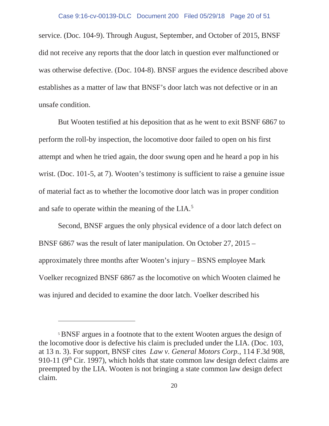service. (Doc. 104-9). Through August, September, and October of 2015, BNSF did not receive any reports that the door latch in question ever malfunctioned or was otherwise defective. (Doc. 104-8). BNSF argues the evidence described above establishes as a matter of law that BNSF's door latch was not defective or in an unsafe condition.

But Wooten testified at his deposition that as he went to exit BSNF 6867 to perform the roll-by inspection, the locomotive door failed to open on his first attempt and when he tried again, the door swung open and he heard a pop in his wrist. (Doc. 101-5, at 7). Wooten's testimony is sufficient to raise a genuine issue of material fact as to whether the locomotive door latch was in proper condition and safe to operate within the meaning of the LIA.5

Second, BNSF argues the only physical evidence of a door latch defect on BNSF 6867 was the result of later manipulation. On October 27, 2015 – approximately three months after Wooten's injury – BSNS employee Mark Voelker recognized BNSF 6867 as the locomotive on which Wooten claimed he was injured and decided to examine the door latch. Voelker described his

<sup>5</sup> BNSF argues in a footnote that to the extent Wooten argues the design of the locomotive door is defective his claim is precluded under the LIA. (Doc. 103, at 13 n. 3). For support, BNSF cites *Law v. General Motors Corp.*, 114 F.3d 908, 910-11 ( $9<sup>th</sup>$  Cir. 1997), which holds that state common law design defect claims are preempted by the LIA. Wooten is not bringing a state common law design defect claim.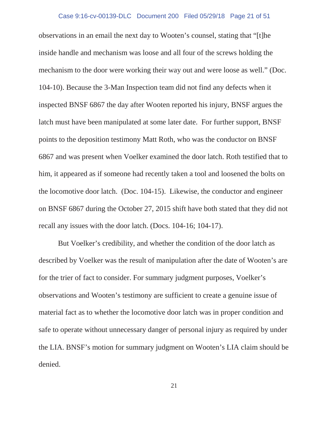## Case 9:16-cv-00139-DLC Document 200 Filed 05/29/18 Page 21 of 51

observations in an email the next day to Wooten's counsel, stating that "[t]he inside handle and mechanism was loose and all four of the screws holding the mechanism to the door were working their way out and were loose as well." (Doc. 104-10). Because the 3-Man Inspection team did not find any defects when it inspected BNSF 6867 the day after Wooten reported his injury, BNSF argues the latch must have been manipulated at some later date. For further support, BNSF points to the deposition testimony Matt Roth, who was the conductor on BNSF 6867 and was present when Voelker examined the door latch. Roth testified that to him, it appeared as if someone had recently taken a tool and loosened the bolts on the locomotive door latch. (Doc. 104-15). Likewise, the conductor and engineer on BNSF 6867 during the October 27, 2015 shift have both stated that they did not recall any issues with the door latch. (Docs. 104-16; 104-17).

But Voelker's credibility, and whether the condition of the door latch as described by Voelker was the result of manipulation after the date of Wooten's are for the trier of fact to consider. For summary judgment purposes, Voelker's observations and Wooten's testimony are sufficient to create a genuine issue of material fact as to whether the locomotive door latch was in proper condition and safe to operate without unnecessary danger of personal injury as required by under the LIA. BNSF's motion for summary judgment on Wooten's LIA claim should be denied.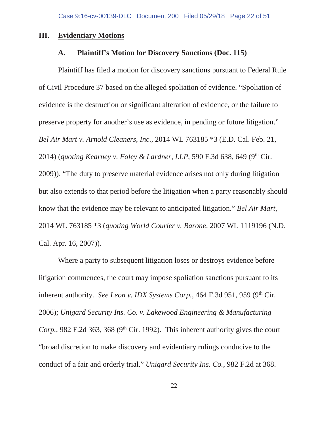## **III. Evidentiary Motions**

#### **A. Plaintiff's Motion for Discovery Sanctions (Doc. 115)**

Plaintiff has filed a motion for discovery sanctions pursuant to Federal Rule of Civil Procedure 37 based on the alleged spoliation of evidence. "Spoliation of evidence is the destruction or significant alteration of evidence, or the failure to preserve property for another's use as evidence, in pending or future litigation." *Bel Air Mart v. Arnold Cleaners, Inc.,* 2014 WL 763185 \*3 (E.D. Cal. Feb. 21, 2014) (*quoting Kearney v. Foley & Lardner, LLP*, 590 F.3d 638, 649 (9<sup>th</sup> Cir. 2009)). "The duty to preserve material evidence arises not only during litigation but also extends to that period before the litigation when a party reasonably should know that the evidence may be relevant to anticipated litigation." *Bel Air Mart*, 2014 WL 763185 \*3 (*quoting World Courier v. Barone,* 2007 WL 1119196 (N.D. Cal. Apr. 16, 2007)).

Where a party to subsequent litigation loses or destroys evidence before litigation commences, the court may impose spoliation sanctions pursuant to its inherent authority. *See Leon v. IDX Systems Corp.*, 464 F.3d 951, 959 (9<sup>th</sup> Cir. 2006); *Unigard Security Ins. Co. v. Lakewood Engineering & Manufacturing Corp.*, 982 F.2d 363, 368 ( $9<sup>th</sup>$  Cir. 1992). This inherent authority gives the court "broad discretion to make discovery and evidentiary rulings conducive to the conduct of a fair and orderly trial." *Unigard Security Ins. Co.*, 982 F.2d at 368.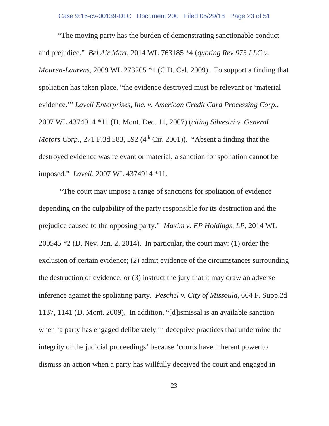"The moving party has the burden of demonstrating sanctionable conduct and prejudice." *Bel Air Mart*, 2014 WL 763185 \*4 (*quoting Rev 973 LLC v. Mouren-Laurens,* 2009 WL 273205 \*1 (C.D. Cal. 2009). To support a finding that spoliation has taken place, "the evidence destroyed must be relevant or 'material evidence.'" *Lavell Enterprises, Inc. v. American Credit Card Processing Corp.*, 2007 WL 4374914 \*11 (D. Mont. Dec. 11, 2007) (*citing Silvestri v. General Motors Corp.*, 271 F.3d 583, 592 (4<sup>th</sup> Cir. 2001)). "Absent a finding that the destroyed evidence was relevant or material, a sanction for spoliation cannot be imposed." *Lavell*, 2007 WL 4374914 \*11.

"The court may impose a range of sanctions for spoliation of evidence depending on the culpability of the party responsible for its destruction and the prejudice caused to the opposing party." *Maxim v. FP Holdings, LP*, 2014 WL 200545 \*2 (D. Nev. Jan. 2, 2014). In particular, the court may: (1) order the exclusion of certain evidence; (2) admit evidence of the circumstances surrounding the destruction of evidence; or (3) instruct the jury that it may draw an adverse inference against the spoliating party. *Peschel v. City of Missoula*, 664 F. Supp.2d 1137, 1141 (D. Mont. 2009). In addition, "[d]ismissal is an available sanction when 'a party has engaged deliberately in deceptive practices that undermine the integrity of the judicial proceedings' because 'courts have inherent power to dismiss an action when a party has willfully deceived the court and engaged in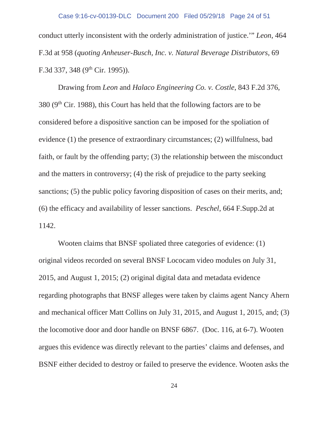#### Case 9:16-cv-00139-DLC Document 200 Filed 05/29/18 Page 24 of 51

conduct utterly inconsistent with the orderly administration of justice.'" *Leon*, 464 F.3d at 958 (*quoting Anheuser-Busch, Inc. v. Natural Beverage Distributors*, 69 F.3d 337, 348 (9th Cir. 1995)).

Drawing from *Leon* and *Halaco Engineering Co. v. Costle*, 843 F.2d 376,  $380$  (9<sup>th</sup> Cir. 1988), this Court has held that the following factors are to be considered before a dispositive sanction can be imposed for the spoliation of evidence (1) the presence of extraordinary circumstances; (2) willfulness, bad faith, or fault by the offending party; (3) the relationship between the misconduct and the matters in controversy; (4) the risk of prejudice to the party seeking sanctions; (5) the public policy favoring disposition of cases on their merits, and; (6) the efficacy and availability of lesser sanctions. *Peschel*, 664 F.Supp.2d at 1142.

Wooten claims that BNSF spoliated three categories of evidence: (1) original videos recorded on several BNSF Lococam video modules on July 31, 2015, and August 1, 2015; (2) original digital data and metadata evidence regarding photographs that BNSF alleges were taken by claims agent Nancy Ahern and mechanical officer Matt Collins on July 31, 2015, and August 1, 2015, and; (3) the locomotive door and door handle on BNSF 6867. (Doc. 116, at 6-7). Wooten argues this evidence was directly relevant to the parties' claims and defenses, and BSNF either decided to destroy or failed to preserve the evidence. Wooten asks the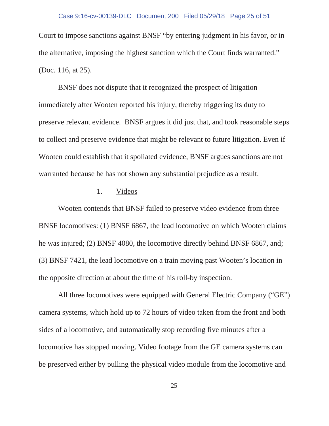### Case 9:16-cv-00139-DLC Document 200 Filed 05/29/18 Page 25 of 51

Court to impose sanctions against BNSF "by entering judgment in his favor, or in the alternative, imposing the highest sanction which the Court finds warranted." (Doc. 116, at 25).

BNSF does not dispute that it recognized the prospect of litigation immediately after Wooten reported his injury, thereby triggering its duty to preserve relevant evidence. BNSF argues it did just that, and took reasonable steps to collect and preserve evidence that might be relevant to future litigation. Even if Wooten could establish that it spoliated evidence, BNSF argues sanctions are not warranted because he has not shown any substantial prejudice as a result.

## 1. Videos

Wooten contends that BNSF failed to preserve video evidence from three BNSF locomotives: (1) BNSF 6867, the lead locomotive on which Wooten claims he was injured; (2) BNSF 4080, the locomotive directly behind BNSF 6867, and; (3) BNSF 7421, the lead locomotive on a train moving past Wooten's location in the opposite direction at about the time of his roll-by inspection.

All three locomotives were equipped with General Electric Company ("GE") camera systems, which hold up to 72 hours of video taken from the front and both sides of a locomotive, and automatically stop recording five minutes after a locomotive has stopped moving. Video footage from the GE camera systems can be preserved either by pulling the physical video module from the locomotive and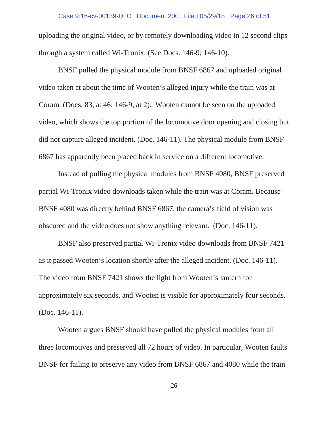### Case 9:16-cv-00139-DLC Document 200 Filed 05/29/18 Page 26 of 51

uploading the original video, or by remotely downloading video in 12 second clips through a system called Wi-Tronix. (See Docs. 146-9; 146-10).

BNSF pulled the physical module from BNSF 6867 and uploaded original video taken at about the time of Wooten's alleged injury while the train was at Coram. (Docs. 83, at 46; 146-9, at 2). Wooten cannot be seen on the uploaded video, which shows the top portion of the locomotive door opening and closing but did not capture alleged incident. (Doc. 146-11). The physical module from BNSF 6867 has apparently been placed back in service on a different locomotive.

Instead of pulling the physical modules from BNSF 4080, BNSF preserved partial Wi-Tronix video downloads taken while the train was at Coram. Because BNSF 4080 was directly behind BNSF 6867, the camera's field of vision was obscured and the video does not show anything relevant. (Doc. 146-11).

BNSF also preserved partial Wi-Tronix video downloads from BNSF 7421 as it passed Wooten's location shortly after the alleged incident. (Doc. 146-11). The video from BNSF 7421 shows the light from Wooten's lantern for approximately six seconds, and Wooten is visible for approximately four seconds. (Doc. 146-11).

Wooten argues BNSF should have pulled the physical modules from all three locomotives and preserved all 72 hours of video. In particular, Wooten faults BNSF for failing to preserve any video from BNSF 6867 and 4080 while the train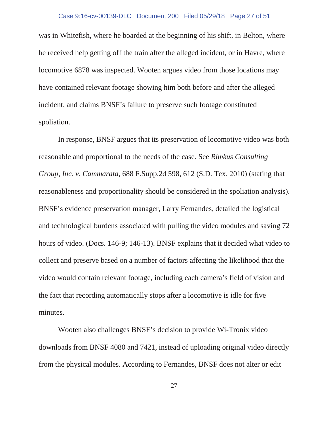## Case 9:16-cv-00139-DLC Document 200 Filed 05/29/18 Page 27 of 51

was in Whitefish, where he boarded at the beginning of his shift, in Belton, where he received help getting off the train after the alleged incident, or in Havre, where locomotive 6878 was inspected. Wooten argues video from those locations may have contained relevant footage showing him both before and after the alleged incident, and claims BNSF's failure to preserve such footage constituted spoliation.

In response, BNSF argues that its preservation of locomotive video was both reasonable and proportional to the needs of the case. See *Rimkus Consulting Group, Inc. v. Cammarata*, 688 F.Supp.2d 598, 612 (S.D. Tex. 2010) (stating that reasonableness and proportionality should be considered in the spoliation analysis). BNSF's evidence preservation manager, Larry Fernandes, detailed the logistical and technological burdens associated with pulling the video modules and saving 72 hours of video. (Docs. 146-9; 146-13). BNSF explains that it decided what video to collect and preserve based on a number of factors affecting the likelihood that the video would contain relevant footage, including each camera's field of vision and the fact that recording automatically stops after a locomotive is idle for five minutes.

Wooten also challenges BNSF's decision to provide Wi-Tronix video downloads from BNSF 4080 and 7421, instead of uploading original video directly from the physical modules. According to Fernandes, BNSF does not alter or edit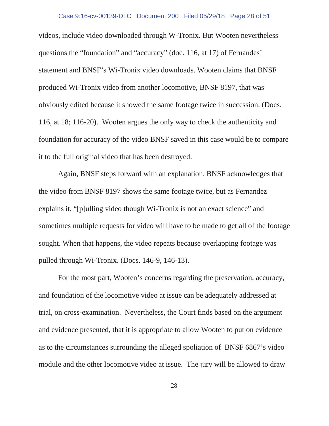## Case 9:16-cv-00139-DLC Document 200 Filed 05/29/18 Page 28 of 51

videos, include video downloaded through W-Tronix. But Wooten nevertheless questions the "foundation" and "accuracy" (doc. 116, at 17) of Fernandes' statement and BNSF's Wi-Tronix video downloads. Wooten claims that BNSF produced Wi-Tronix video from another locomotive, BNSF 8197, that was obviously edited because it showed the same footage twice in succession. (Docs. 116, at 18; 116-20). Wooten argues the only way to check the authenticity and foundation for accuracy of the video BNSF saved in this case would be to compare it to the full original video that has been destroyed.

Again, BNSF steps forward with an explanation. BNSF acknowledges that the video from BNSF 8197 shows the same footage twice, but as Fernandez explains it, "[p]ulling video though Wi-Tronix is not an exact science" and sometimes multiple requests for video will have to be made to get all of the footage sought. When that happens, the video repeats because overlapping footage was pulled through Wi-Tronix. (Docs. 146-9, 146-13).

For the most part, Wooten's concerns regarding the preservation, accuracy, and foundation of the locomotive video at issue can be adequately addressed at trial, on cross-examination. Nevertheless, the Court finds based on the argument and evidence presented, that it is appropriate to allow Wooten to put on evidence as to the circumstances surrounding the alleged spoliation of BNSF 6867's video module and the other locomotive video at issue. The jury will be allowed to draw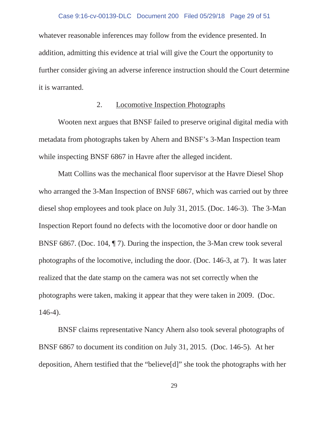whatever reasonable inferences may follow from the evidence presented. In addition, admitting this evidence at trial will give the Court the opportunity to further consider giving an adverse inference instruction should the Court determine it is warranted.

## 2. Locomotive Inspection Photographs

Wooten next argues that BNSF failed to preserve original digital media with metadata from photographs taken by Ahern and BNSF's 3-Man Inspection team while inspecting BNSF 6867 in Havre after the alleged incident.

Matt Collins was the mechanical floor supervisor at the Havre Diesel Shop who arranged the 3-Man Inspection of BNSF 6867, which was carried out by three diesel shop employees and took place on July 31, 2015. (Doc. 146-3). The 3-Man Inspection Report found no defects with the locomotive door or door handle on BNSF 6867. (Doc. 104, ¶ 7). During the inspection, the 3-Man crew took several photographs of the locomotive, including the door. (Doc. 146-3, at 7). It was later realized that the date stamp on the camera was not set correctly when the photographs were taken, making it appear that they were taken in 2009. (Doc. 146-4).

BNSF claims representative Nancy Ahern also took several photographs of BNSF 6867 to document its condition on July 31, 2015. (Doc. 146-5). At her deposition, Ahern testified that the "believe[d]" she took the photographs with her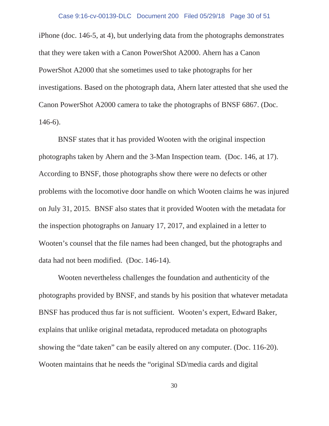iPhone (doc. 146-5, at 4), but underlying data from the photographs demonstrates that they were taken with a Canon PowerShot A2000. Ahern has a Canon PowerShot A2000 that she sometimes used to take photographs for her investigations. Based on the photograph data, Ahern later attested that she used the Canon PowerShot A2000 camera to take the photographs of BNSF 6867. (Doc. 146-6).

BNSF states that it has provided Wooten with the original inspection photographs taken by Ahern and the 3-Man Inspection team. (Doc. 146, at 17). According to BNSF, those photographs show there were no defects or other problems with the locomotive door handle on which Wooten claims he was injured on July 31, 2015. BNSF also states that it provided Wooten with the metadata for the inspection photographs on January 17, 2017, and explained in a letter to Wooten's counsel that the file names had been changed, but the photographs and data had not been modified. (Doc. 146-14).

Wooten nevertheless challenges the foundation and authenticity of the photographs provided by BNSF, and stands by his position that whatever metadata BNSF has produced thus far is not sufficient. Wooten's expert, Edward Baker, explains that unlike original metadata, reproduced metadata on photographs showing the "date taken" can be easily altered on any computer. (Doc. 116-20). Wooten maintains that he needs the "original SD/media cards and digital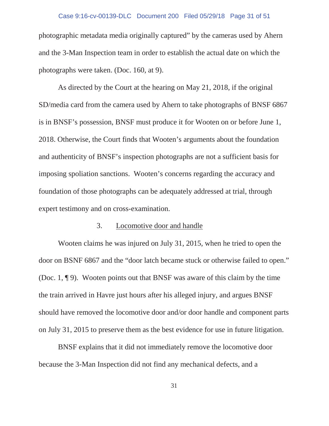### Case 9:16-cv-00139-DLC Document 200 Filed 05/29/18 Page 31 of 51

photographic metadata media originally captured" by the cameras used by Ahern and the 3-Man Inspection team in order to establish the actual date on which the photographs were taken. (Doc. 160, at 9).

As directed by the Court at the hearing on May 21, 2018, if the original SD/media card from the camera used by Ahern to take photographs of BNSF 6867 is in BNSF's possession, BNSF must produce it for Wooten on or before June 1, 2018. Otherwise, the Court finds that Wooten's arguments about the foundation and authenticity of BNSF's inspection photographs are not a sufficient basis for imposing spoliation sanctions. Wooten's concerns regarding the accuracy and foundation of those photographs can be adequately addressed at trial, through expert testimony and on cross-examination.

## 3. Locomotive door and handle

Wooten claims he was injured on July 31, 2015, when he tried to open the door on BSNF 6867 and the "door latch became stuck or otherwise failed to open." (Doc. 1, ¶ 9). Wooten points out that BNSF was aware of this claim by the time the train arrived in Havre just hours after his alleged injury, and argues BNSF should have removed the locomotive door and/or door handle and component parts on July 31, 2015 to preserve them as the best evidence for use in future litigation.

BNSF explains that it did not immediately remove the locomotive door because the 3-Man Inspection did not find any mechanical defects, and a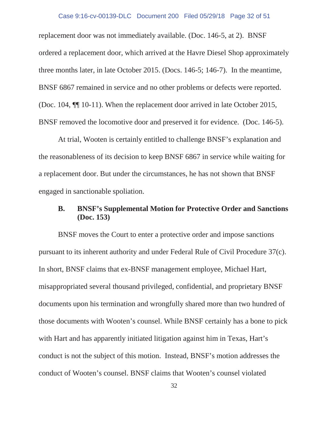### Case 9:16-cv-00139-DLC Document 200 Filed 05/29/18 Page 32 of 51

replacement door was not immediately available. (Doc. 146-5, at 2). BNSF ordered a replacement door, which arrived at the Havre Diesel Shop approximately three months later, in late October 2015. (Docs. 146-5; 146-7). In the meantime, BNSF 6867 remained in service and no other problems or defects were reported. (Doc. 104, ¶¶ 10-11). When the replacement door arrived in late October 2015, BNSF removed the locomotive door and preserved it for evidence. (Doc. 146-5).

At trial, Wooten is certainly entitled to challenge BNSF's explanation and the reasonableness of its decision to keep BNSF 6867 in service while waiting for a replacement door. But under the circumstances, he has not shown that BNSF engaged in sanctionable spoliation.

# **B. BNSF's Supplemental Motion for Protective Order and Sanctions (Doc. 153)**

BNSF moves the Court to enter a protective order and impose sanctions pursuant to its inherent authority and under Federal Rule of Civil Procedure 37(c). In short, BNSF claims that ex-BNSF management employee, Michael Hart, misappropriated several thousand privileged, confidential, and proprietary BNSF documents upon his termination and wrongfully shared more than two hundred of those documents with Wooten's counsel. While BNSF certainly has a bone to pick with Hart and has apparently initiated litigation against him in Texas, Hart's conduct is not the subject of this motion. Instead, BNSF's motion addresses the conduct of Wooten's counsel. BNSF claims that Wooten's counsel violated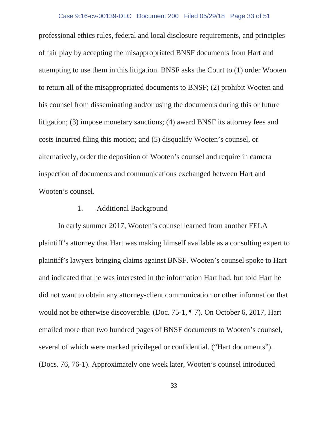## Case 9:16-cv-00139-DLC Document 200 Filed 05/29/18 Page 33 of 51

professional ethics rules, federal and local disclosure requirements, and principles of fair play by accepting the misappropriated BNSF documents from Hart and attempting to use them in this litigation. BNSF asks the Court to (1) order Wooten to return all of the misappropriated documents to BNSF; (2) prohibit Wooten and his counsel from disseminating and/or using the documents during this or future litigation; (3) impose monetary sanctions; (4) award BNSF its attorney fees and costs incurred filing this motion; and (5) disqualify Wooten's counsel, or alternatively, order the deposition of Wooten's counsel and require in camera inspection of documents and communications exchanged between Hart and Wooten's counsel.

## 1. Additional Background

In early summer 2017, Wooten's counsel learned from another FELA plaintiff's attorney that Hart was making himself available as a consulting expert to plaintiff's lawyers bringing claims against BNSF. Wooten's counsel spoke to Hart and indicated that he was interested in the information Hart had, but told Hart he did not want to obtain any attorney-client communication or other information that would not be otherwise discoverable. (Doc. 75-1, ¶ 7). On October 6, 2017, Hart emailed more than two hundred pages of BNSF documents to Wooten's counsel, several of which were marked privileged or confidential. ("Hart documents"). (Docs. 76, 76-1). Approximately one week later, Wooten's counsel introduced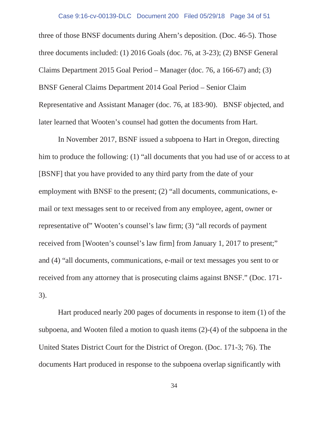#### Case 9:16-cv-00139-DLC Document 200 Filed 05/29/18 Page 34 of 51

three of those BNSF documents during Ahern's deposition. (Doc. 46-5). Those three documents included: (1) 2016 Goals (doc. 76, at 3-23); (2) BNSF General Claims Department 2015 Goal Period – Manager (doc. 76, a 166-67) and; (3) BNSF General Claims Department 2014 Goal Period – Senior Claim Representative and Assistant Manager (doc. 76, at 183-90). BNSF objected, and later learned that Wooten's counsel had gotten the documents from Hart.

In November 2017, BSNF issued a subpoena to Hart in Oregon, directing him to produce the following: (1) "all documents that you had use of or access to at [BSNF] that you have provided to any third party from the date of your employment with BNSF to the present; (2) "all documents, communications, email or text messages sent to or received from any employee, agent, owner or representative of" Wooten's counsel's law firm; (3) "all records of payment received from [Wooten's counsel's law firm] from January 1, 2017 to present;" and (4) "all documents, communications, e-mail or text messages you sent to or received from any attorney that is prosecuting claims against BNSF." (Doc. 171- 3).

Hart produced nearly 200 pages of documents in response to item (1) of the subpoena, and Wooten filed a motion to quash items (2)-(4) of the subpoena in the United States District Court for the District of Oregon. (Doc. 171-3; 76). The documents Hart produced in response to the subpoena overlap significantly with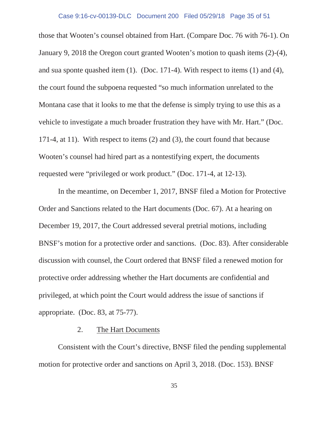### Case 9:16-cv-00139-DLC Document 200 Filed 05/29/18 Page 35 of 51

those that Wooten's counsel obtained from Hart. (Compare Doc. 76 with 76-1). On January 9, 2018 the Oregon court granted Wooten's motion to quash items (2)-(4), and sua sponte quashed item (1). (Doc. 171-4). With respect to items (1) and (4), the court found the subpoena requested "so much information unrelated to the Montana case that it looks to me that the defense is simply trying to use this as a vehicle to investigate a much broader frustration they have with Mr. Hart." (Doc. 171-4, at 11). With respect to items (2) and (3), the court found that because Wooten's counsel had hired part as a nontestifying expert, the documents requested were "privileged or work product." (Doc. 171-4, at 12-13).

In the meantime, on December 1, 2017, BNSF filed a Motion for Protective Order and Sanctions related to the Hart documents (Doc. 67). At a hearing on December 19, 2017, the Court addressed several pretrial motions, including BNSF's motion for a protective order and sanctions. (Doc. 83). After considerable discussion with counsel, the Court ordered that BNSF filed a renewed motion for protective order addressing whether the Hart documents are confidential and privileged, at which point the Court would address the issue of sanctions if appropriate. (Doc. 83, at 75-77).

### 2. The Hart Documents

Consistent with the Court's directive, BNSF filed the pending supplemental motion for protective order and sanctions on April 3, 2018. (Doc. 153). BNSF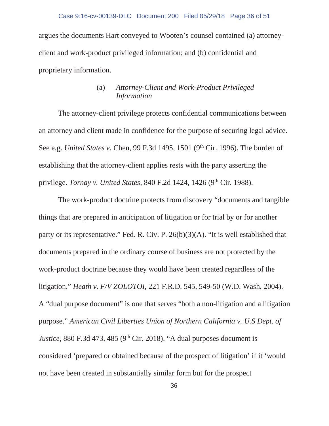argues the documents Hart conveyed to Wooten's counsel contained (a) attorneyclient and work-product privileged information; and (b) confidential and proprietary information.

## (a) *Attorney-Client and Work-Product Privileged Information*

The attorney-client privilege protects confidential communications between an attorney and client made in confidence for the purpose of securing legal advice. See e.g. *United States v.* Chen, 99 F.3d 1495, 1501 (9<sup>th</sup> Cir. 1996). The burden of establishing that the attorney-client applies rests with the party asserting the privilege. *Tornay v. United States*, 840 F.2d 1424, 1426 (9<sup>th</sup> Cir. 1988).

The work-product doctrine protects from discovery "documents and tangible things that are prepared in anticipation of litigation or for trial by or for another party or its representative." Fed. R. Civ. P. 26(b)(3)(A). "It is well established that documents prepared in the ordinary course of business are not protected by the work-product doctrine because they would have been created regardless of the litigation." *Heath v. F/V ZOLOTOI*, 221 F.R.D. 545, 549-50 (W.D. Wash. 2004). A "dual purpose document" is one that serves "both a non-litigation and a litigation purpose." *American Civil Liberties Union of Northern California v. U.S Dept. of Justice*, 880 F.3d 473, 485 (9<sup>th</sup> Cir. 2018). "A dual purposes document is considered 'prepared or obtained because of the prospect of litigation' if it 'would not have been created in substantially similar form but for the prospect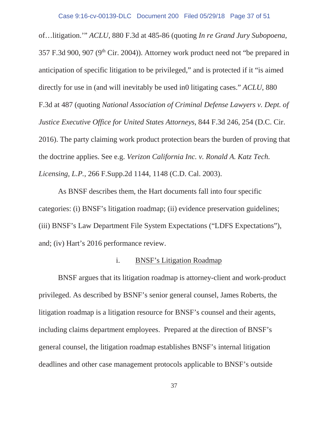of…litigation.'" *ACLU,* 880 F.3d at 485-86 (quoting *In re Grand Jury Subopoena*, 357 F.3d 900, 907 (9th Cir. 2004)). Attorney work product need not "be prepared in anticipation of specific litigation to be privileged," and is protected if it "is aimed directly for use in (and will inevitably be used in0 litigating cases." *ACLU*, 880 F.3d at 487 (quoting *National Association of Criminal Defense Lawyers v. Dept. of Justice Executive Office for United States Attorneys*, 844 F.3d 246, 254 (D.C. Cir. 2016). The party claiming work product protection bears the burden of proving that the doctrine applies. See e.g. *Verizon California Inc. v. Ronald A. Katz Tech. Licensing, L.P.*, 266 F.Supp.2d 1144, 1148 (C.D. Cal. 2003).

As BNSF describes them, the Hart documents fall into four specific categories: (i) BNSF's litigation roadmap; (ii) evidence preservation guidelines; (iii) BNSF's Law Department File System Expectations ("LDFS Expectations"), and; (iv) Hart's 2016 performance review.

## i. BNSF's Litigation Roadmap

BNSF argues that its litigation roadmap is attorney-client and work-product privileged. As described by BSNF's senior general counsel, James Roberts, the litigation roadmap is a litigation resource for BNSF's counsel and their agents, including claims department employees. Prepared at the direction of BNSF's general counsel, the litigation roadmap establishes BNSF's internal litigation deadlines and other case management protocols applicable to BNSF's outside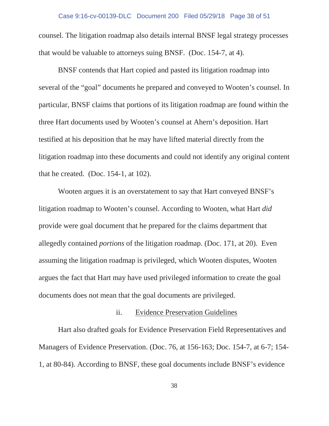#### Case 9:16-cv-00139-DLC Document 200 Filed 05/29/18 Page 38 of 51

counsel. The litigation roadmap also details internal BNSF legal strategy processes that would be valuable to attorneys suing BNSF. (Doc. 154-7, at 4).

BNSF contends that Hart copied and pasted its litigation roadmap into several of the "goal" documents he prepared and conveyed to Wooten's counsel. In particular, BNSF claims that portions of its litigation roadmap are found within the three Hart documents used by Wooten's counsel at Ahern's deposition. Hart testified at his deposition that he may have lifted material directly from the litigation roadmap into these documents and could not identify any original content that he created. (Doc. 154-1, at 102).

Wooten argues it is an overstatement to say that Hart conveyed BNSF's litigation roadmap to Wooten's counsel. According to Wooten, what Hart *did*  provide were goal document that he prepared for the claims department that allegedly contained *portions* of the litigation roadmap. (Doc. 171, at 20). Even assuming the litigation roadmap is privileged, which Wooten disputes, Wooten argues the fact that Hart may have used privileged information to create the goal documents does not mean that the goal documents are privileged.

## ii. Evidence Preservation Guidelines

Hart also drafted goals for Evidence Preservation Field Representatives and Managers of Evidence Preservation. (Doc. 76, at 156-163; Doc. 154-7, at 6-7; 154- 1, at 80-84). According to BNSF, these goal documents include BNSF's evidence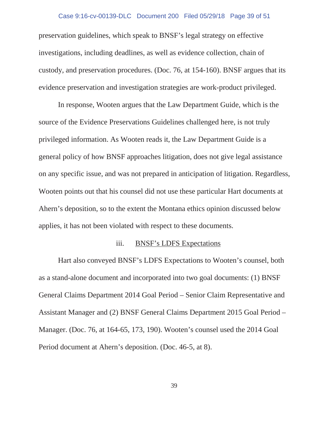### Case 9:16-cv-00139-DLC Document 200 Filed 05/29/18 Page 39 of 51

preservation guidelines, which speak to BNSF's legal strategy on effective investigations, including deadlines, as well as evidence collection, chain of custody, and preservation procedures. (Doc. 76, at 154-160). BNSF argues that its evidence preservation and investigation strategies are work-product privileged.

In response, Wooten argues that the Law Department Guide, which is the source of the Evidence Preservations Guidelines challenged here, is not truly privileged information. As Wooten reads it, the Law Department Guide is a general policy of how BNSF approaches litigation, does not give legal assistance on any specific issue, and was not prepared in anticipation of litigation. Regardless, Wooten points out that his counsel did not use these particular Hart documents at Ahern's deposition, so to the extent the Montana ethics opinion discussed below applies, it has not been violated with respect to these documents.

## iii. BNSF's LDFS Expectations

Hart also conveyed BNSF's LDFS Expectations to Wooten's counsel, both as a stand-alone document and incorporated into two goal documents: (1) BNSF General Claims Department 2014 Goal Period – Senior Claim Representative and Assistant Manager and (2) BNSF General Claims Department 2015 Goal Period – Manager. (Doc. 76, at 164-65, 173, 190). Wooten's counsel used the 2014 Goal Period document at Ahern's deposition. (Doc. 46-5, at 8).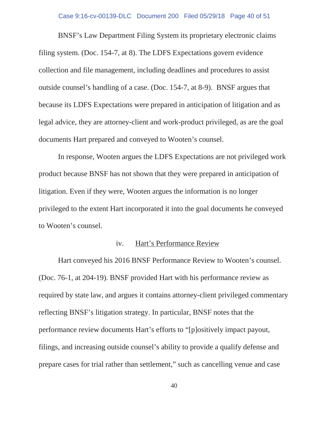## Case 9:16-cv-00139-DLC Document 200 Filed 05/29/18 Page 40 of 51

BNSF's Law Department Filing System its proprietary electronic claims filing system. (Doc. 154-7, at 8). The LDFS Expectations govern evidence collection and file management, including deadlines and procedures to assist outside counsel's handling of a case. (Doc. 154-7, at 8-9). BNSF argues that because its LDFS Expectations were prepared in anticipation of litigation and as legal advice, they are attorney-client and work-product privileged, as are the goal documents Hart prepared and conveyed to Wooten's counsel.

In response, Wooten argues the LDFS Expectations are not privileged work product because BNSF has not shown that they were prepared in anticipation of litigation. Even if they were, Wooten argues the information is no longer privileged to the extent Hart incorporated it into the goal documents he conveyed to Wooten's counsel.

## iv. Hart's Performance Review

Hart conveyed his 2016 BNSF Performance Review to Wooten's counsel. (Doc. 76-1, at 204-19). BNSF provided Hart with his performance review as required by state law, and argues it contains attorney-client privileged commentary reflecting BNSF's litigation strategy. In particular, BNSF notes that the performance review documents Hart's efforts to "[p]ositively impact payout, filings, and increasing outside counsel's ability to provide a qualify defense and prepare cases for trial rather than settlement," such as cancelling venue and case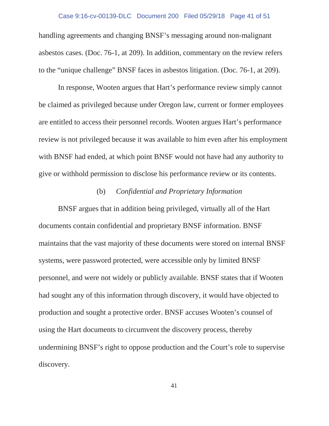## Case 9:16-cv-00139-DLC Document 200 Filed 05/29/18 Page 41 of 51

handling agreements and changing BNSF's messaging around non-malignant asbestos cases. (Doc. 76-1, at 209). In addition, commentary on the review refers to the "unique challenge" BNSF faces in asbestos litigation. (Doc. 76-1, at 209).

In response, Wooten argues that Hart's performance review simply cannot be claimed as privileged because under Oregon law, current or former employees are entitled to access their personnel records. Wooten argues Hart's performance review is not privileged because it was available to him even after his employment with BNSF had ended, at which point BNSF would not have had any authority to give or withhold permission to disclose his performance review or its contents.

# (b) *Confidential and Proprietary Information*

BNSF argues that in addition being privileged, virtually all of the Hart documents contain confidential and proprietary BNSF information. BNSF maintains that the vast majority of these documents were stored on internal BNSF systems, were password protected, were accessible only by limited BNSF personnel, and were not widely or publicly available. BNSF states that if Wooten had sought any of this information through discovery, it would have objected to production and sought a protective order. BNSF accuses Wooten's counsel of using the Hart documents to circumvent the discovery process, thereby undermining BNSF's right to oppose production and the Court's role to supervise discovery.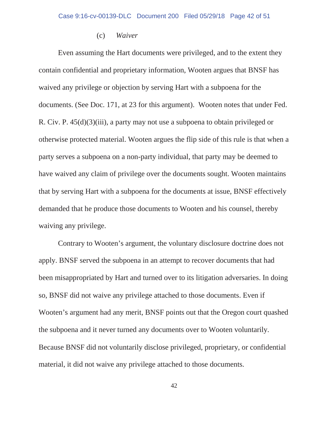## (c) *Waiver*

Even assuming the Hart documents were privileged, and to the extent they contain confidential and proprietary information, Wooten argues that BNSF has waived any privilege or objection by serving Hart with a subpoena for the documents. (See Doc. 171, at 23 for this argument). Wooten notes that under Fed. R. Civ. P. 45(d)(3)(iii), a party may not use a subpoena to obtain privileged or otherwise protected material. Wooten argues the flip side of this rule is that when a party serves a subpoena on a non-party individual, that party may be deemed to have waived any claim of privilege over the documents sought. Wooten maintains that by serving Hart with a subpoena for the documents at issue, BNSF effectively demanded that he produce those documents to Wooten and his counsel, thereby waiving any privilege.

Contrary to Wooten's argument, the voluntary disclosure doctrine does not apply. BNSF served the subpoena in an attempt to recover documents that had been misappropriated by Hart and turned over to its litigation adversaries. In doing so, BNSF did not waive any privilege attached to those documents. Even if Wooten's argument had any merit, BNSF points out that the Oregon court quashed the subpoena and it never turned any documents over to Wooten voluntarily. Because BNSF did not voluntarily disclose privileged, proprietary, or confidential material, it did not waive any privilege attached to those documents.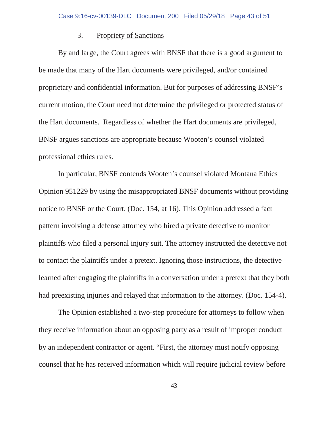## 3. Propriety of Sanctions

By and large, the Court agrees with BNSF that there is a good argument to be made that many of the Hart documents were privileged, and/or contained proprietary and confidential information. But for purposes of addressing BNSF's current motion, the Court need not determine the privileged or protected status of the Hart documents. Regardless of whether the Hart documents are privileged, BNSF argues sanctions are appropriate because Wooten's counsel violated professional ethics rules.

In particular, BNSF contends Wooten's counsel violated Montana Ethics Opinion 951229 by using the misappropriated BNSF documents without providing notice to BNSF or the Court. (Doc. 154, at 16). This Opinion addressed a fact pattern involving a defense attorney who hired a private detective to monitor plaintiffs who filed a personal injury suit. The attorney instructed the detective not to contact the plaintiffs under a pretext. Ignoring those instructions, the detective learned after engaging the plaintiffs in a conversation under a pretext that they both had preexisting injuries and relayed that information to the attorney. (Doc. 154-4).

The Opinion established a two-step procedure for attorneys to follow when they receive information about an opposing party as a result of improper conduct by an independent contractor or agent. "First, the attorney must notify opposing counsel that he has received information which will require judicial review before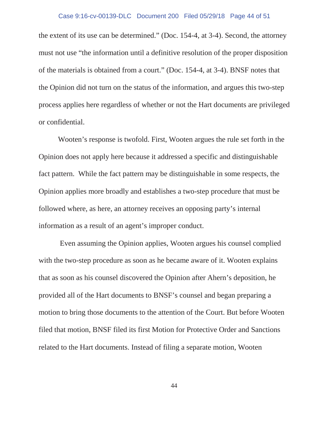### Case 9:16-cv-00139-DLC Document 200 Filed 05/29/18 Page 44 of 51

the extent of its use can be determined." (Doc. 154-4, at 3-4). Second, the attorney must not use "the information until a definitive resolution of the proper disposition of the materials is obtained from a court." (Doc. 154-4, at 3-4). BNSF notes that the Opinion did not turn on the status of the information, and argues this two-step process applies here regardless of whether or not the Hart documents are privileged or confidential.

Wooten's response is twofold. First, Wooten argues the rule set forth in the Opinion does not apply here because it addressed a specific and distinguishable fact pattern. While the fact pattern may be distinguishable in some respects, the Opinion applies more broadly and establishes a two-step procedure that must be followed where, as here, an attorney receives an opposing party's internal information as a result of an agent's improper conduct.

Even assuming the Opinion applies, Wooten argues his counsel complied with the two-step procedure as soon as he became aware of it. Wooten explains that as soon as his counsel discovered the Opinion after Ahern's deposition, he provided all of the Hart documents to BNSF's counsel and began preparing a motion to bring those documents to the attention of the Court. But before Wooten filed that motion, BNSF filed its first Motion for Protective Order and Sanctions related to the Hart documents. Instead of filing a separate motion, Wooten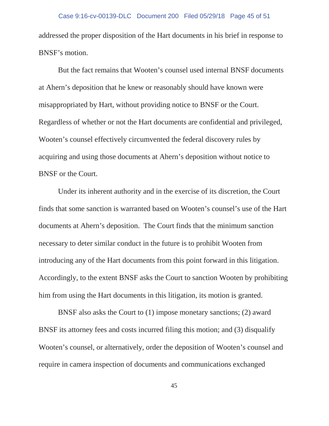addressed the proper disposition of the Hart documents in his brief in response to BNSF's motion.

But the fact remains that Wooten's counsel used internal BNSF documents at Ahern's deposition that he knew or reasonably should have known were misappropriated by Hart, without providing notice to BNSF or the Court. Regardless of whether or not the Hart documents are confidential and privileged, Wooten's counsel effectively circumvented the federal discovery rules by acquiring and using those documents at Ahern's deposition without notice to BNSF or the Court.

Under its inherent authority and in the exercise of its discretion, the Court finds that some sanction is warranted based on Wooten's counsel's use of the Hart documents at Ahern's deposition. The Court finds that the minimum sanction necessary to deter similar conduct in the future is to prohibit Wooten from introducing any of the Hart documents from this point forward in this litigation. Accordingly, to the extent BNSF asks the Court to sanction Wooten by prohibiting him from using the Hart documents in this litigation, its motion is granted.

BNSF also asks the Court to (1) impose monetary sanctions; (2) award BNSF its attorney fees and costs incurred filing this motion; and (3) disqualify Wooten's counsel, or alternatively, order the deposition of Wooten's counsel and require in camera inspection of documents and communications exchanged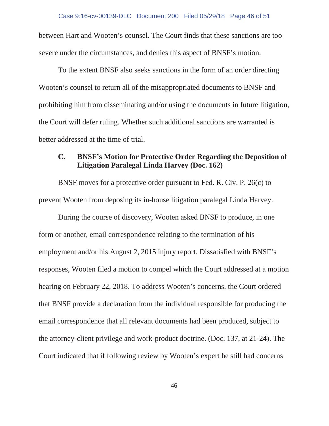between Hart and Wooten's counsel. The Court finds that these sanctions are too severe under the circumstances, and denies this aspect of BNSF's motion.

To the extent BNSF also seeks sanctions in the form of an order directing Wooten's counsel to return all of the misappropriated documents to BNSF and prohibiting him from disseminating and/or using the documents in future litigation, the Court will defer ruling. Whether such additional sanctions are warranted is better addressed at the time of trial.

## **C. BNSF's Motion for Protective Order Regarding the Deposition of Litigation Paralegal Linda Harvey (Doc. 162)**

BNSF moves for a protective order pursuant to Fed. R. Civ. P. 26(c) to prevent Wooten from deposing its in-house litigation paralegal Linda Harvey.

During the course of discovery, Wooten asked BNSF to produce, in one form or another, email correspondence relating to the termination of his employment and/or his August 2, 2015 injury report. Dissatisfied with BNSF's responses, Wooten filed a motion to compel which the Court addressed at a motion hearing on February 22, 2018. To address Wooten's concerns, the Court ordered that BNSF provide a declaration from the individual responsible for producing the email correspondence that all relevant documents had been produced, subject to the attorney-client privilege and work-product doctrine. (Doc. 137, at 21-24). The Court indicated that if following review by Wooten's expert he still had concerns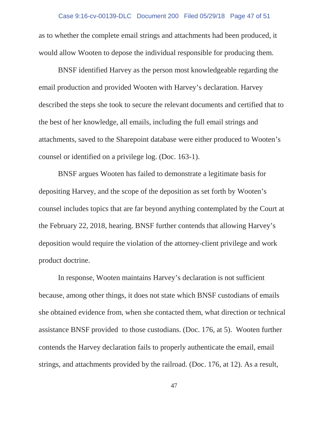as to whether the complete email strings and attachments had been produced, it would allow Wooten to depose the individual responsible for producing them.

BNSF identified Harvey as the person most knowledgeable regarding the email production and provided Wooten with Harvey's declaration. Harvey described the steps she took to secure the relevant documents and certified that to the best of her knowledge, all emails, including the full email strings and attachments, saved to the Sharepoint database were either produced to Wooten's counsel or identified on a privilege log. (Doc. 163-1).

BNSF argues Wooten has failed to demonstrate a legitimate basis for depositing Harvey, and the scope of the deposition as set forth by Wooten's counsel includes topics that are far beyond anything contemplated by the Court at the February 22, 2018, hearing. BNSF further contends that allowing Harvey's deposition would require the violation of the attorney-client privilege and work product doctrine.

In response, Wooten maintains Harvey's declaration is not sufficient because, among other things, it does not state which BNSF custodians of emails she obtained evidence from, when she contacted them, what direction or technical assistance BNSF provided to those custodians. (Doc. 176, at 5). Wooten further contends the Harvey declaration fails to properly authenticate the email, email strings, and attachments provided by the railroad. (Doc. 176, at 12). As a result,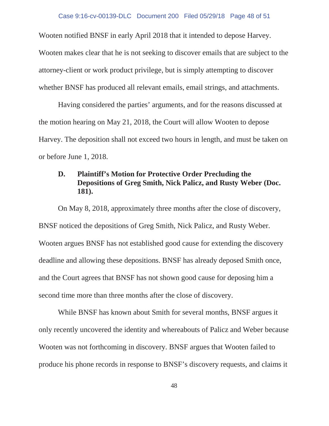Wooten notified BNSF in early April 2018 that it intended to depose Harvey. Wooten makes clear that he is not seeking to discover emails that are subject to the attorney-client or work product privilege, but is simply attempting to discover whether BNSF has produced all relevant emails, email strings, and attachments.

Having considered the parties' arguments, and for the reasons discussed at the motion hearing on May 21, 2018, the Court will allow Wooten to depose Harvey. The deposition shall not exceed two hours in length, and must be taken on or before June 1, 2018.

# **D. Plaintiff's Motion for Protective Order Precluding the Depositions of Greg Smith, Nick Palicz, and Rusty Weber (Doc. 181).**

On May 8, 2018, approximately three months after the close of discovery, BNSF noticed the depositions of Greg Smith, Nick Palicz, and Rusty Weber. Wooten argues BNSF has not established good cause for extending the discovery deadline and allowing these depositions. BNSF has already deposed Smith once, and the Court agrees that BNSF has not shown good cause for deposing him a second time more than three months after the close of discovery.

While BNSF has known about Smith for several months, BNSF argues it only recently uncovered the identity and whereabouts of Palicz and Weber because Wooten was not forthcoming in discovery. BNSF argues that Wooten failed to produce his phone records in response to BNSF's discovery requests, and claims it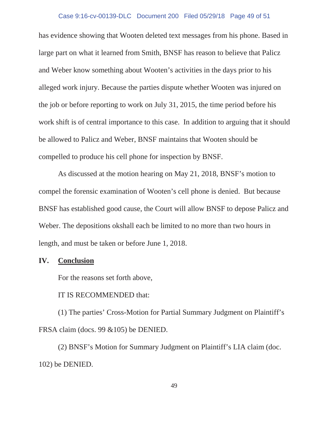## Case 9:16-cv-00139-DLC Document 200 Filed 05/29/18 Page 49 of 51

has evidence showing that Wooten deleted text messages from his phone. Based in large part on what it learned from Smith, BNSF has reason to believe that Palicz and Weber know something about Wooten's activities in the days prior to his alleged work injury. Because the parties dispute whether Wooten was injured on the job or before reporting to work on July 31, 2015, the time period before his work shift is of central importance to this case. In addition to arguing that it should be allowed to Palicz and Weber, BNSF maintains that Wooten should be compelled to produce his cell phone for inspection by BNSF.

As discussed at the motion hearing on May 21, 2018, BNSF's motion to compel the forensic examination of Wooten's cell phone is denied. But because BNSF has established good cause, the Court will allow BNSF to depose Palicz and Weber. The depositions okshall each be limited to no more than two hours in length, and must be taken or before June 1, 2018.

## **IV. Conclusion**

For the reasons set forth above,

## IT IS RECOMMENDED that:

(1) The parties' Cross-Motion for Partial Summary Judgment on Plaintiff's FRSA claim (docs. 99 &105) be DENIED.

(2) BNSF's Motion for Summary Judgment on Plaintiff's LIA claim (doc. 102) be DENIED.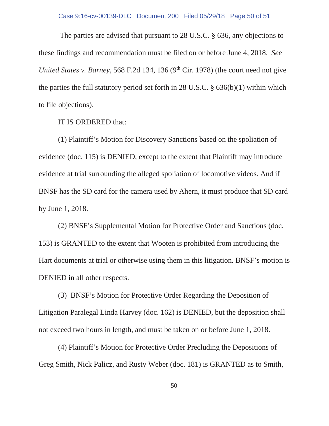## Case 9:16-cv-00139-DLC Document 200 Filed 05/29/18 Page 50 of 51

The parties are advised that pursuant to 28 U.S.C. § 636, any objections to these findings and recommendation must be filed on or before June 4, 2018. *See United States v. Barney*, 568 F.2d 134, 136 (9<sup>th</sup> Cir. 1978) (the court need not give the parties the full statutory period set forth in 28 U.S.C. § 636(b)(1) within which to file objections).

IT IS ORDERED that:

(1) Plaintiff's Motion for Discovery Sanctions based on the spoliation of evidence (doc. 115) is DENIED, except to the extent that Plaintiff may introduce evidence at trial surrounding the alleged spoliation of locomotive videos. And if BNSF has the SD card for the camera used by Ahern, it must produce that SD card by June 1, 2018.

(2) BNSF's Supplemental Motion for Protective Order and Sanctions (doc. 153) is GRANTED to the extent that Wooten is prohibited from introducing the Hart documents at trial or otherwise using them in this litigation. BNSF's motion is DENIED in all other respects.

(3) BNSF's Motion for Protective Order Regarding the Deposition of Litigation Paralegal Linda Harvey (doc. 162) is DENIED, but the deposition shall not exceed two hours in length, and must be taken on or before June 1, 2018.

(4) Plaintiff's Motion for Protective Order Precluding the Depositions of Greg Smith, Nick Palicz, and Rusty Weber (doc. 181) is GRANTED as to Smith,